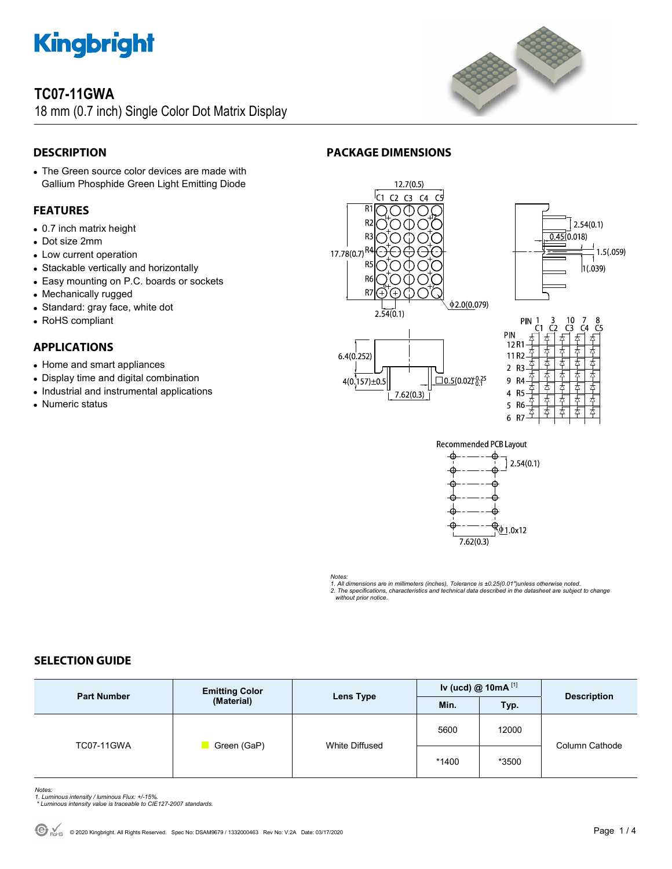## **TC07-11GWA**

18 mm (0.7 inch) Single Color Dot Matrix Display



## **DESCRIPTION**

• The Green source color devices are made with Gallium Phosphide Green Light Emitting Diode

## **FEATURES**

- 0.7 inch matrix height
- Dot size 2mm
- Low current operation
- Stackable vertically and horizontally
- Easy mounting on P.C. boards or sockets
- Mechanically rugged
- Standard: gray face, white dot
- RoHS compliant

## **APPLICATIONS**

- Home and smart appliances
- Display time and digital combination
- Industrial and instrumental applications
- Numeric status













Notes:<br>1. All dimensions are in millimeters (inches), Tolerance is ±0.25(0.01")unless otherwise noted.<br>2. The specifications, characteristics and technical data described in the datasheet are subject to change  *without prior notice.* 

## **SELECTION GUIDE**

| <b>Part Number</b> | <b>Emitting Color</b><br>(Material) | Lens Type      | Iv (ucd) @ $10mA$ <sup>[1]</sup> |       | <b>Description</b> |
|--------------------|-------------------------------------|----------------|----------------------------------|-------|--------------------|
|                    |                                     |                | Min.                             | Typ.  |                    |
| <b>TC07-11GWA</b>  | Green (GaP)                         | White Diffused | 5600                             | 12000 | Column Cathode     |
|                    |                                     |                | *1400                            | *3500 |                    |

*Notes: 1. Luminous intensity / luminous Flux: +/-15%.* 

 *\* Luminous intensity value is traceable to CIE127-2007 standards.*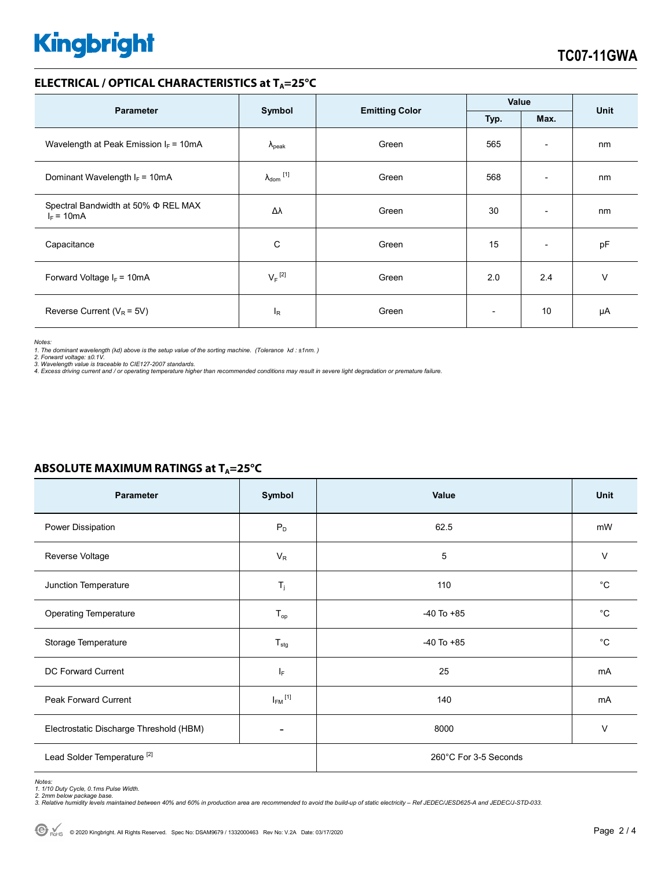## **ELECTRICAL / OPTICAL CHARACTERISTICS at T<sub>A</sub>=25°C**

| <b>Parameter</b>                                         | Symbol                     | <b>Emitting Color</b> | Value                    |                          | <b>Unit</b> |
|----------------------------------------------------------|----------------------------|-----------------------|--------------------------|--------------------------|-------------|
|                                                          |                            |                       | Typ.                     | Max.                     |             |
| Wavelength at Peak Emission $I_F = 10mA$                 | $\Lambda_{\rm peak}$       | Green                 | 565                      | $\overline{\phantom{a}}$ | nm          |
| Dominant Wavelength $I_F = 10mA$                         | $\lambda_{\text{dom}}$ [1] | Green                 | 568                      | $\overline{\phantom{0}}$ | nm          |
| Spectral Bandwidth at 50% $\Phi$ REL MAX<br>$I_F = 10mA$ | Δλ                         | Green                 | 30                       | $\overline{\phantom{a}}$ | nm          |
| Capacitance                                              | С                          | Green                 | 15                       | $\overline{\phantom{a}}$ | pF          |
| Forward Voltage $I_F = 10mA$                             | $V_F$ <sup>[2]</sup>       | Green                 | 2.0                      | 2.4                      | $\vee$      |
| Reverse Current ( $V_R$ = 5V)                            | $I_R$                      | Green                 | $\overline{\phantom{a}}$ | 10                       | μA          |

*Notes:* 

1. The dominant wavelength (λd) above is the setup value of the sorting machine. (Tolerance λd : ±1nm. )<br>2. Forward voltage: ±0.1V.<br>3. Wavelength value is traceable to CIE127-2007 standards.<br>4. Excess driving current and

| Parameter                               | Symbol                    | Value                 | Unit         |  |
|-----------------------------------------|---------------------------|-----------------------|--------------|--|
| Power Dissipation                       | $P_D$                     | 62.5                  | mW           |  |
| Reverse Voltage                         | $V_R$                     | 5                     | $\vee$       |  |
| Junction Temperature                    | $\mathsf{T}_j$            | 110                   | $^{\circ}C$  |  |
| Operating Temperature                   | $T_{op}$                  | $-40$ To $+85$        | $^{\circ}C$  |  |
| Storage Temperature                     | $T_{\text{stg}}$          | $-40$ To $+85$        | $^{\circ}$ C |  |
| DC Forward Current                      | IF.                       | 25                    | mA           |  |
| Peak Forward Current                    | $I_{\mathsf{FM}}{}^{[1]}$ | 140                   | mA           |  |
| Electrostatic Discharge Threshold (HBM) |                           | 8000                  | $\vee$       |  |
| Lead Solder Temperature <sup>[2]</sup>  |                           | 260°C For 3-5 Seconds |              |  |

## **ABSOLUTE MAXIMUM RATINGS at T<sub>A</sub>=25°C**

Notes:<br>1. 1/10 Duty Cycle, 0.1ms Pulse Width.<br>2. 2mm below package base.<br>3. Relative humidity levels maintained between 40% and 60% in production area are recommended to avoid the build-up of static electricity – Ref JEDEC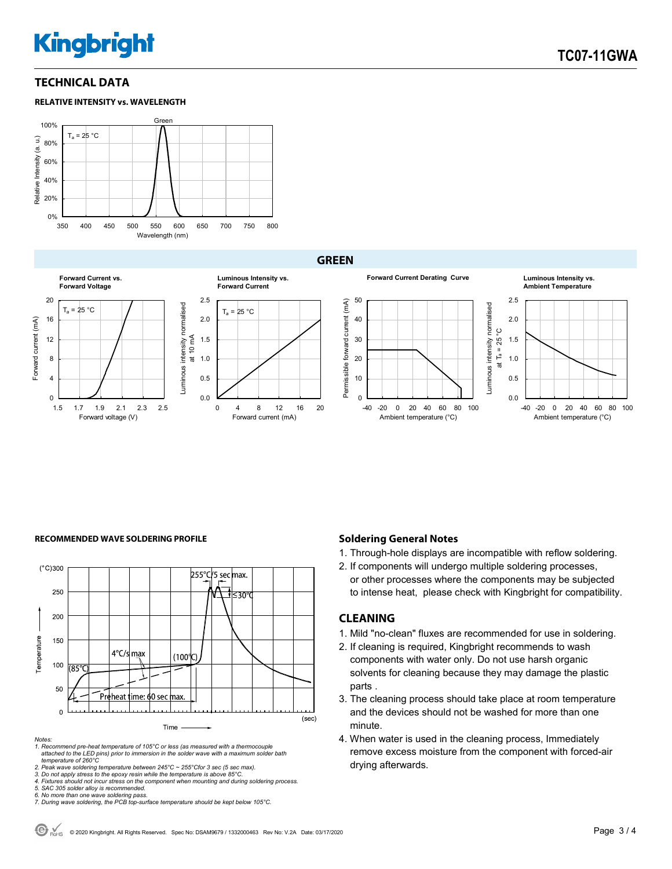## **TECHNICAL DATA**





**GREEN**





### **Forward Current Derating Curve Luminous Intensity vs. Ambient Temperature** 50 2.5 Permissible forward current (mA) Permissible forward current (mA) Luminous intensity normalised Luminous intensity normalised 40 2.0 at Ta = 25 °C 30 1.5 20 1.0 10 0.5  $\overline{0}$ 0.0 -40 -20 0 20 40 60 80 100 -40 -20 0 20 40 60 80 100 Ambient temperature (°C) Ambient temperature (°C)

### **RECOMMENDED WAVE SOLDERING PROFILE <b>A CONDUCT A CONDUCT SOLDERING PROFILE Soldering General Notes**



*Notes:* 

*1. Recommend pre-heat temperature of 105°C or less (as measured with a thermocouple attached to the LED pins) prior to immersion in the solder wave with a maximum solder bath temperature of 260°C* 

2. Peak wave soldering temperature between 245°C ~ 255°Cfor 3 sec (5 sec max).<br>3. Do not apply stress to the epoxy resin while the temperature is above 85°C.<br>4. Fixtures should not incur stress on the component when mounti

*5. SAC 305 solder alloy is recommended.* 

- 1. Through-hole displays are incompatible with reflow soldering.
- 2. If components will undergo multiple soldering processes, or other processes where the components may be subjected to intense heat, please check with Kingbright for compatibility.

### **CLEANING**

- 1. Mild "no-clean" fluxes are recommended for use in soldering.
- 2. If cleaning is required, Kingbright recommends to wash components with water only. Do not use harsh organic solvents for cleaning because they may damage the plastic parts .
- 3. The cleaning process should take place at room temperature and the devices should not be washed for more than one minute.
- 4. When water is used in the cleaning process, Immediately remove excess moisture from the component with forced-air drying afterwards.

*<sup>6.</sup> No more than one wave soldering pass. 7. During wave soldering, the PCB top-surface temperature should be kept below 105°C.*